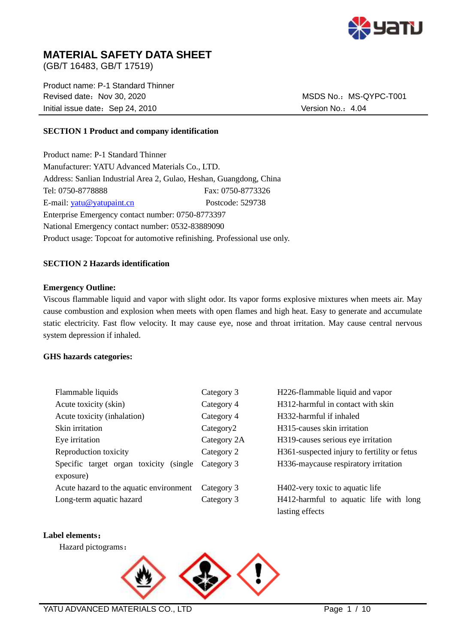

# **MATERIAL SAFETY DATA SHEET**

(GB/T 16483, GB/T 17519)

Product name: P-1 Standard Thinner Revised date: Nov 30, 2020 MSDS No.: MS-QYPC-T001 Initial issue date: Sep 24, 2010 Version No.: 4.04

## **SECTION 1 Product and company identification**

Product name: P-1 Standard Thinner Manufacturer: YATU Advanced Materials Co., LTD. Address: Sanlian Industrial Area 2, Gulao, Heshan, Guangdong, China Tel: 0750-8778888 Fax: 0750-8773326 E-mail: [yatu@yatupaint.cn](mailto:yatu@yatupaint.com) Postcode: 529738 Enterprise Emergency contact number: 0750-8773397 National Emergency contact number: 0532-83889090 Product usage: Topcoat for automotive refinishing. Professional use only.

## **SECTION 2 Hazards identification**

## **Emergency Outline:**

Viscous flammable liquid and vapor with slight odor. Its vapor forms explosive mixtures when meets air. May cause combustion and explosion when meets with open flames and high heat. Easy to generate and accumulate static electricity. Fast flow velocity. It may cause eye, nose and throat irritation. May cause central nervous system depression if inhaled.

## **GHS hazards categories:**

| Flammable liquids                          | Category 3            | H226-flammable liquid and vapor             |
|--------------------------------------------|-----------------------|---------------------------------------------|
| Acute toxicity (skin)                      | Category 4            | H312-harmful in contact with skin           |
| Acute toxicity (inhalation)                | Category 4            | H332-harmful if inhaled                     |
| Skin irritation                            | Category <sub>2</sub> | H <sub>3</sub> 15-causes skin irritation    |
| Eye irritation                             | Category 2A           | H319-causes serious eye irritation          |
| Reproduction toxicity                      | Category 2            | H361-suspected injury to fertility or fetus |
| Specific target organ toxicity<br>(single) | Category 3            | H336-maycause respiratory irritation        |
| exposure)                                  |                       |                                             |
| Acute hazard to the aquatic environment    | Category 3            | H402-very toxic to aquatic life             |
| Long-term aquatic hazard                   | Category 3            | H412-harmful to aquatic life with long      |
|                                            |                       | lasting effects                             |

#### **Label elements**:

Hazard pictograms:

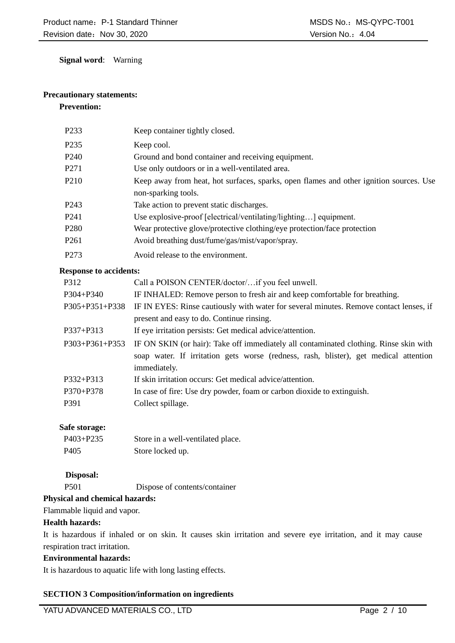**Signal word**: Warning

# **Precautionary statements:**

# **Prevention:**

| P <sub>233</sub> | Keep container tightly closed.                                                                                |
|------------------|---------------------------------------------------------------------------------------------------------------|
| P <sub>235</sub> | Keep cool.                                                                                                    |
| P <sub>240</sub> | Ground and bond container and receiving equipment.                                                            |
| P <sub>271</sub> | Use only outdoors or in a well-ventilated area.                                                               |
| P <sub>210</sub> | Keep away from heat, hot surfaces, sparks, open flames and other ignition sources. Use<br>non-sparking tools. |
| P <sub>243</sub> | Take action to prevent static discharges.                                                                     |
| P <sub>241</sub> | Use explosive-proof [electrical/ventilating/lighting] equipment.                                              |
| P <sub>280</sub> | Wear protective glove/protective clothing/eye protection/face protection                                      |
| P <sub>261</sub> | Avoid breathing dust/fume/gas/mist/vapor/spray.                                                               |
| P <sub>273</sub> | Avoid release to the environment.                                                                             |

## **Response to accidents:**

| P312                 | Call a POISON CENTER/doctor/if you feel unwell.                                        |
|----------------------|----------------------------------------------------------------------------------------|
| P304+P340            | IF INHALED: Remove person to fresh air and keep comfortable for breathing.             |
| P305+P351+P338       | IF IN EYES: Rinse cautiously with water for several minutes. Remove contact lenses, if |
|                      | present and easy to do. Continue rinsing.                                              |
| $P337 + P313$        | If eye irritation persists: Get medical advice/attention.                              |
| $P303 + P361 + P353$ | IF ON SKIN (or hair): Take off immediately all contaminated clothing. Rinse skin with  |
|                      | soap water. If irritation gets worse (redness, rash, blister), get medical attention   |
|                      | immediately.                                                                           |
| P332+P313            | If skin irritation occurs: Get medical advice/attention.                               |
| $P370 + P378$        | In case of fire: Use dry powder, foam or carbon dioxide to extinguish.                 |
| P391                 | Collect spillage.                                                                      |
|                      |                                                                                        |

# **Safe storage:**

| $P403 + P235$    | Store in a well-ventilated place. |
|------------------|-----------------------------------|
| P <sub>405</sub> | Store locked up.                  |

# **Disposal:**

P501 Dispose of contents/container

# **Physical and chemical hazards:**

Flammable liquid and vapor.

# **Health hazards:**

It is hazardous if inhaled or on skin. It causes skin irritation and severe eye irritation, and it may cause respiration tract irritation.

# **Environmental hazards:**

It is hazardous to aquatic life with long lasting effects.

# **SECTION 3 Composition/information on ingredients**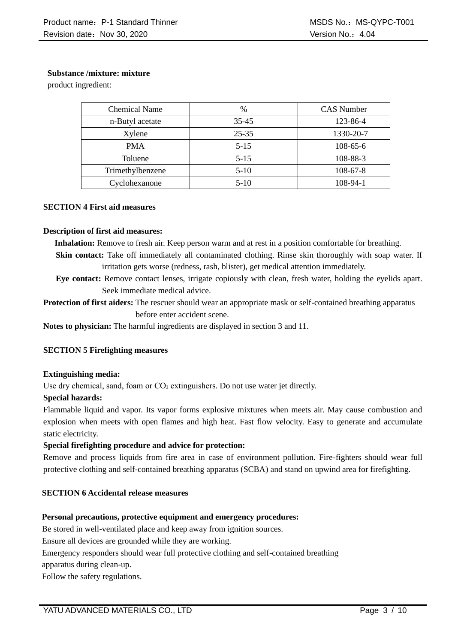# **Substance /mixture: mixture**

product ingredient:

| <b>Chemical Name</b> | $\frac{0}{0}$ | <b>CAS</b> Number |
|----------------------|---------------|-------------------|
| n-Butyl acetate      | $35 - 45$     | 123-86-4          |
| Xylene               | $25 - 35$     | 1330-20-7         |
| <b>PMA</b>           | $5 - 15$      | $108-65-6$        |
| Toluene              | $5-15$        | 108-88-3          |
| Trimethylbenzene     | $5-10$        | $108 - 67 - 8$    |
| Cyclohexanone        | $5-10$        | 108-94-1          |

## **SECTION 4 First aid measures**

#### **Description of first aid measures:**

**Inhalation:** Remove to fresh air. Keep person warm and at rest in a position comfortable for breathing.

**Skin contact:** Take off immediately all contaminated clothing. Rinse skin thoroughly with soap water. If irritation gets worse (redness, rash, blister), get medical attention immediately.

**Eye contact:** Remove contact lenses, irrigate copiously with clean, fresh water, holding the eyelids apart. Seek immediate medical advice.

**Protection of first aiders:** The rescuer should wear an appropriate mask or self-contained breathing apparatus before enter accident scene.

**Notes to physician:** The harmful ingredients are displayed in section 3 and 11.

## **SECTION 5 Firefighting measures**

## **Extinguishing media:**

Use dry chemical, sand, foam or  $CO<sub>2</sub>$  extinguishers. Do not use water jet directly.

## **Special hazards:**

Flammable liquid and vapor. Its vapor forms explosive mixtures when meets air. May cause combustion and explosion when meets with open flames and high heat. Fast flow velocity. Easy to generate and accumulate static electricity.

## **Special firefighting procedure and advice for protection:**

Remove and process liquids from fire area in case of environment pollution. Fire-fighters should wear full protective clothing and self-contained breathing apparatus (SCBA) and stand on upwind area for firefighting.

## **SECTION 6 Accidental release measures**

## **Personal precautions, protective equipment and emergency procedures:**

Be stored in well-ventilated place and keep away from ignition sources.

Ensure all devices are grounded while they are working.

Emergency responders should wear full protective clothing and self-contained breathing

apparatus during clean-up.

Follow the safety regulations.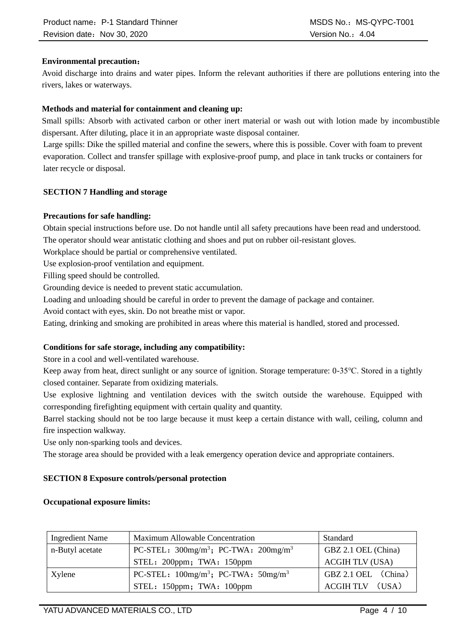# **Environmental precaution**:

Avoid discharge into drains and water pipes. Inform the relevant authorities if there are pollutions entering into the rivers, lakes or waterways.

# **Methods and material for containment and cleaning up:**

Small spills: Absorb with activated carbon or other inert material or wash out with lotion made by incombustible dispersant. After diluting, place it in an appropriate waste disposal container.

Large spills: Dike the spilled material and confine the sewers, where this is possible. Cover with foam to prevent evaporation. Collect and transfer spillage with explosive-proof pump, and place in tank trucks or containers for later recycle or disposal.

## **SECTION 7 Handling and storage**

## **Precautions for safe handling:**

Obtain special instructions before use. Do not handle until all safety precautions have been read and understood. The operator should wear antistatic clothing and shoes and put on rubber oil-resistant gloves.

Workplace should be partial or comprehensive ventilated.

Use explosion-proof ventilation and equipment.

Filling speed should be controlled.

Grounding device is needed to prevent static accumulation.

Loading and unloading should be careful in order to prevent the damage of package and container.

Avoid contact with eyes, skin. Do not breathe mist or vapor.

Eating, drinking and smoking are prohibited in areas where this material is handled, stored and processed.

# **Conditions for safe storage, including any compatibility:**

Store in a cool and well-ventilated warehouse.

Keep away from heat, direct sunlight or any source of ignition. Storage temperature: 0-35℃. Stored in a tightly closed container. Separate from oxidizing materials.

Use explosive lightning and ventilation devices with the switch outside the warehouse. Equipped with corresponding firefighting equipment with certain quality and quantity.

Barrel stacking should not be too large because it must keep a certain distance with wall, ceiling, column and fire inspection walkway.

Use only non-sparking tools and devices.

The storage area should be provided with a leak emergency operation device and appropriate containers.

# **SECTION 8 Exposure controls/personal protection**

## **Occupational exposure limits:**

| <b>Ingredient Name</b> | Maximum Allowable Concentration                                    | Standard               |
|------------------------|--------------------------------------------------------------------|------------------------|
| n-Butyl acetate        | PC-STEL: $300$ mg/m <sup>3</sup> ; PC-TWA: $200$ mg/m <sup>3</sup> | GBZ 2.1 OEL (China)    |
|                        | STEL: 200ppm; TWA: 150ppm                                          | <b>ACGIH TLV (USA)</b> |
| Xylene                 | PC-STEL: $100mg/m^3$ ; PC-TWA: $50mg/m^3$                          | GBZ 2.1 OEL (China)    |
|                        | STEL: 150ppm; TWA: 100ppm                                          | ACGIH TLV (USA)        |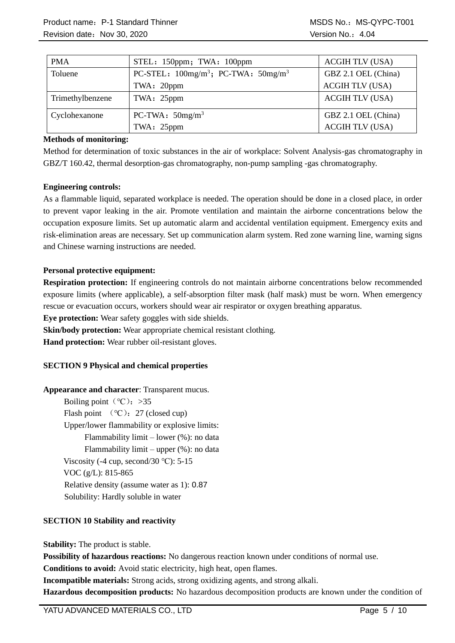| <b>PMA</b>       | STEL: 150ppm; TWA: 100ppm                                         | <b>ACGIH TLV (USA)</b> |
|------------------|-------------------------------------------------------------------|------------------------|
| Toluene          | PC-STEL: $100$ mg/m <sup>3</sup> ; PC-TWA: $50$ mg/m <sup>3</sup> | GBZ 2.1 OEL (China)    |
|                  | TWA: 20ppm                                                        | <b>ACGIH TLV (USA)</b> |
| Trimethylbenzene | TWA: 25ppm                                                        | <b>ACGIH TLV (USA)</b> |
| Cyclohexanone    | PC-TWA: $50mg/m^3$                                                | GBZ 2.1 OEL (China)    |
|                  | TWA: 25ppm                                                        | <b>ACGIH TLV (USA)</b> |

## **Methods of monitoring:**

Method for determination of toxic substances in the air of workplace: Solvent Analysis-gas chromatography in GBZ/T 160.42, thermal desorption-gas chromatography, non-pump sampling -gas chromatography.

## **Engineering controls:**

As a flammable liquid, separated workplace is needed. The operation should be done in a closed place, in order to prevent vapor leaking in the air. Promote ventilation and maintain the airborne concentrations below the occupation exposure limits. Set up automatic alarm and accidental ventilation equipment. Emergency exits and risk-elimination areas are necessary. Set up communication alarm system. Red zone warning line, warning signs and Chinese warning instructions are needed.

## **Personal protective equipment:**

**Respiration protection:** If engineering controls do not maintain airborne concentrations below recommended exposure limits (where applicable), a self-absorption filter mask (half mask) must be worn. When emergency rescue or evacuation occurs, workers should wear air respirator or oxygen breathing apparatus.

**Eye protection:** Wear safety goggles with side shields.

**Skin/body protection:** Wear appropriate chemical resistant clothing.

**Hand protection:** Wear rubber oil-resistant gloves.

# **SECTION 9 Physical and chemical properties**

## **Appearance and character**: Transparent mucus.

Boiling point ( $°C$ ): >35 Flash point  $(°C)$ : 27 (closed cup) Upper/lower flammability or explosive limits: Flammability limit – lower (%): no data Flammability limit – upper (%): no data Viscosity (-4 cup, second/30  $°C$ ): 5-15 VOC (g/L): 815-865 Relative density (assume water as 1): 0.87 Solubility: Hardly soluble in water

# **SECTION 10 Stability and reactivity**

**Stability:** The product is stable.

**Possibility of hazardous reactions:** No dangerous reaction known under conditions of normal use.

**Conditions to avoid:** Avoid static electricity, high heat, open flames.

**Incompatible materials:** Strong acids, strong oxidizing agents, and strong alkali.

**Hazardous decomposition products:** No hazardous decomposition products are known under the condition of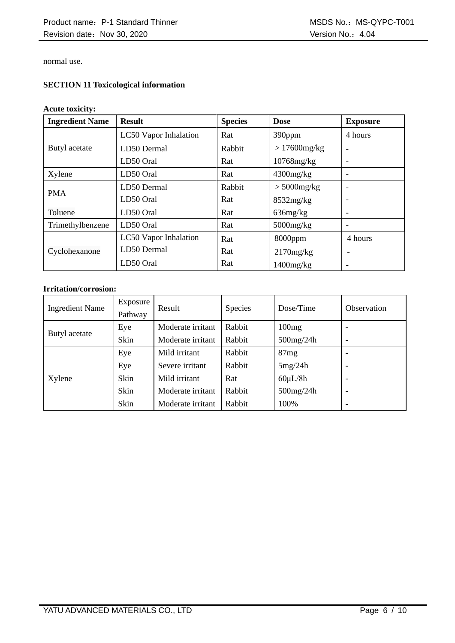normal use.

# **SECTION 11 Toxicological information**

## **Acute toxicity:**

| <b>Ingredient Name</b> | <b>Result</b>                | <b>Species</b> | <b>Dose</b>     | <b>Exposure</b> |
|------------------------|------------------------------|----------------|-----------------|-----------------|
|                        | <b>LC50</b> Vapor Inhalation | Rat            | 390ppm          | 4 hours         |
| Butyl acetate          | LD50 Dermal                  | Rabbit         | $>17600$ mg/kg  |                 |
|                        | LD50 Oral                    | Rat            | $10768$ mg/kg   |                 |
| Xylene                 | LD50 Oral                    | Rat            | $4300$ mg/kg    |                 |
| <b>PMA</b>             | LD50 Dermal                  | Rabbit         | $> 5000$ mg/kg  |                 |
|                        | LD50 Oral                    | Rat            | 8532mg/kg       |                 |
| Toluene                | LD50 Oral                    | Rat            | $636$ mg/ $kg$  |                 |
| Trimethylbenzene       | LD50 Oral                    | Rat            | $5000$ mg/ $kg$ |                 |
|                        | LC50 Vapor Inhalation        | Rat            | $8000$ ppm      | 4 hours         |
| Cyclohexanone          | LD50 Dermal                  | Rat            | 2170mg/kg       |                 |
|                        | LD50 Oral                    | Rat            | $1400$ mg/ $kg$ |                 |

# **Irritation/corrosion:**

| <b>Ingredient Name</b> | Exposure<br>Pathway | Result            | Species | Dose/Time     | <b>Observation</b>       |
|------------------------|---------------------|-------------------|---------|---------------|--------------------------|
|                        | Eye                 | Moderate irritant | Rabbit  | 100mg         |                          |
| Butyl acetate          | Skin                | Moderate irritant | Rabbit  | 500mg/24h     | $\overline{\phantom{a}}$ |
|                        | Eye                 | Mild irritant     | Rabbit  | 87mg          | ۰                        |
|                        | Eye                 | Severe irritant   | Rabbit  | 5mg/24h       | $\overline{\phantom{0}}$ |
| Xylene                 | Skin                | Mild irritant     | Rat     | $60 \mu L/8h$ | $\overline{\phantom{0}}$ |
|                        | Skin                | Moderate irritant | Rabbit  | 500mg/24h     | $\overline{\phantom{0}}$ |
|                        | Skin                | Moderate irritant | Rabbit  | 100%          | $\overline{\phantom{a}}$ |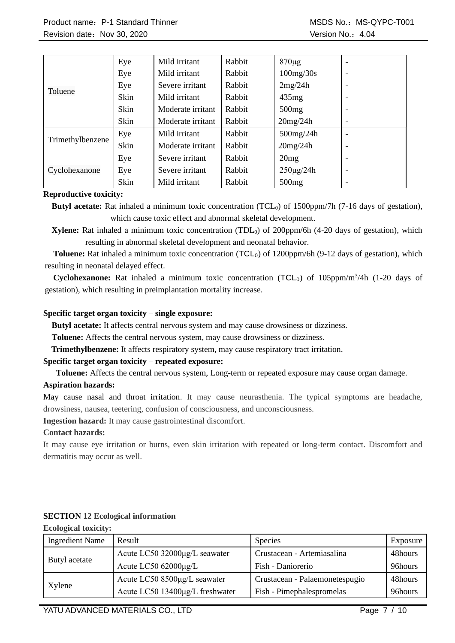|                  | Eye  | Mild irritant     | Rabbit | $870 \mu g$       | $\overline{\phantom{a}}$ |
|------------------|------|-------------------|--------|-------------------|--------------------------|
|                  | Eye  | Mild irritant     | Rabbit | 100mg/30s         | $\overline{\phantom{a}}$ |
| Toluene          | Eye  | Severe irritant   | Rabbit | 2mg/24h           | $\overline{\phantom{a}}$ |
|                  | Skin | Mild irritant     | Rabbit | 435mg             | $\overline{\phantom{a}}$ |
|                  | Skin | Moderate irritant | Rabbit | 500mg             | $\overline{\phantom{a}}$ |
|                  | Skin | Moderate irritant | Rabbit | 20mg/24h          | $\overline{\phantom{a}}$ |
| Trimethylbenzene | Eye  | Mild irritant     | Rabbit | $500$ mg/24h      | $\overline{\phantom{a}}$ |
|                  | Skin | Moderate irritant | Rabbit | 20mg/24h          | $\overline{\phantom{a}}$ |
|                  | Eye  | Severe irritant   | Rabbit | 20mg              | $\overline{\phantom{a}}$ |
| Cyclohexanone    | Eye  | Severe irritant   | Rabbit | $250 \mu g / 24h$ | $\overline{\phantom{a}}$ |
|                  | Skin | Mild irritant     | Rabbit | 500mg             | $\overline{\phantom{a}}$ |

## **Reproductive toxicity:**

**Butyl acetate:** Rat inhaled a minimum toxic concentration (TCL<sub>0</sub>) of 1500ppm/7h (7-16 days of gestation), which cause toxic effect and abnormal skeletal development.

**Xylene:** Rat inhaled a minimum toxic concentration (TDL<sub>0</sub>) of 200ppm/6h (4-20 days of gestation), which resulting in abnormal skeletal development and neonatal behavior.

**Toluene:** Rat inhaled a minimum toxic concentration (TCL<sub>0</sub>) of 1200ppm/6h (9-12 days of gestation), which resulting in neonatal delayed effect.

Cyclohexanone: Rat inhaled a minimum toxic concentration (TCL<sub>0</sub>) of 105ppm/m<sup>3</sup>/4h (1-20 days of gestation), which resulting in preimplantation mortality increase.

## **Specific target organ toxicity – single exposure:**

**Butyl acetate:** It affects central nervous system and may cause drowsiness or dizziness.

**Toluene:** Affects the central nervous system, may cause drowsiness or dizziness.

**[Trimethylbenzene:](file:///C:/Users/yatu/AppData/Local/youdao/dict/Application/8.5.3.0/resultui/html/index.html#/javascript:;)** It affects respiratory system, may cause respiratory tract irritation.

## **Specific target organ toxicity – repeated exposure:**

**Toluene:** Affects the central nervous system, Long-term or repeated exposure may cause organ damage.

## **Aspiration hazards:**

May cause nasal and throat irritation. It may cause neurasthenia. The typical symptoms are headache, drowsiness, nausea, teetering, confusion of consciousness, and unconsciousness.

**Ingestion hazard:** It may cause gastrointestinal discomfort.

## **Contact hazards:**

It may cause eye irritation or burns, even skin irritation with repeated or long-term contact. Discomfort and dermatitis may occur as well.

| <b>Ingredient Name</b> | Result                          | Species                        | Exposure |
|------------------------|---------------------------------|--------------------------------|----------|
|                        | Acute LC50 32000µg/L seawater   | Crustacean - Artemiasalina     | 48hours  |
| Butyl acetate          | Acute LC50 62000µg/L            | Fish - Daniorerio              | 96hours  |
|                        | Acute LC50 8500µg/L seawater    | Crustacean - Palaemonetespugio | 48hours  |
| Xylene                 | Acute LC50 13400µg/L freshwater | Fish - Pimephalespromelas      | 96hours  |

# **SECTION 12 Ecological information**

**Ecological toxicity:**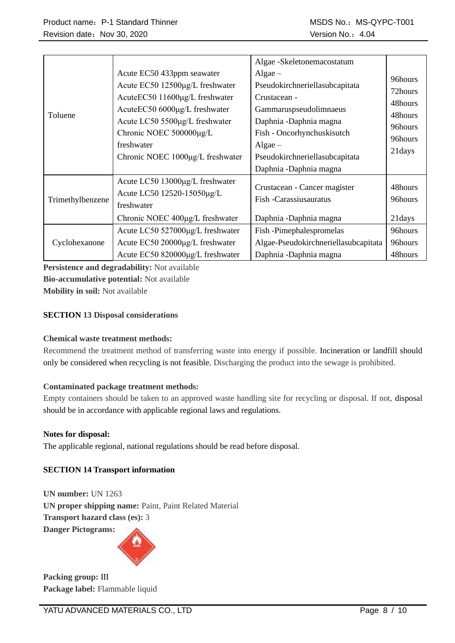| Toluene          | Acute EC50 433ppm seawater<br>Acute EC50 12500µg/L freshwater<br>AcuteEC50 11600μg/L freshwater<br>AcuteEC50 6000μg/L freshwater<br>Acute LC50 5500µg/L freshwater<br>Chronic NOEC 500000µg/L<br>freshwater<br>Chronic NOEC 1000µg/L freshwater | Algae -Skeletonemacostatum<br>Algae $-$<br>Pseudokirchneriellasubcapitata<br>Crustacean -<br>Gammaruspseudolimnaeus<br>Daphnia -Daphnia magna<br>Fish - Oncorhynchuskisutch<br>$Algae -$<br>Pseudokirchneriellasubcapitata<br>Daphnia -Daphnia magna | 96hours<br>72hours<br>48hours<br>48hours<br>96hours<br>96hours<br>21 days |
|------------------|-------------------------------------------------------------------------------------------------------------------------------------------------------------------------------------------------------------------------------------------------|------------------------------------------------------------------------------------------------------------------------------------------------------------------------------------------------------------------------------------------------------|---------------------------------------------------------------------------|
| Trimethylbenzene | Acute LC50 13000μg/L freshwater<br>Acute LC50 12520-15050µg/L<br>freshwater<br>Chronic NOEC 400µg/L freshwater                                                                                                                                  | Crustacean - Cancer magister<br>Fish -Carassiusauratus<br>Daphnia -Daphnia magna                                                                                                                                                                     | 48hours<br>96hours<br>21days                                              |
| Cyclohexanone    | Acute LC50 527000µg/L freshwater<br>Acute EC50 20000μg/L freshwater<br>Acute EC50 820000µg/L freshwater                                                                                                                                         | Fish-Pimephalespromelas<br>Algae-Pseudokirchneriellasubcapitata<br>Daphnia -Daphnia magna                                                                                                                                                            | 96hours<br>96hours<br>48hours                                             |

**Persistence and degradability:** Not available **Bio-accumulative potential:** Not available **Mobility in soil:** Not available

## **SECTION 13 Disposal considerations**

## **Chemical waste treatment methods:**

Recommend the treatment method of transferring waste into energy if possible. Incineration or landfill should only be considered when recycling is not feasible. Discharging the product into the sewage is prohibited.

## **Contaminated package treatment methods:**

Empty containers should be taken to an approved waste handling site for recycling or disposal. If not, disposal should be in accordance with applicable regional laws and regulations.

## **Notes for disposal:**

The applicable regional, national regulations should be read before disposal.

# **SECTION 14 Transport information**

**UN number:** UN 1263 **UN proper shipping name:** Paint, Paint Related Material **Transport hazard class (es):** 3

**Danger Pictograms:** 



**Packing group:** Ⅲ **Package label:** Flammable liquid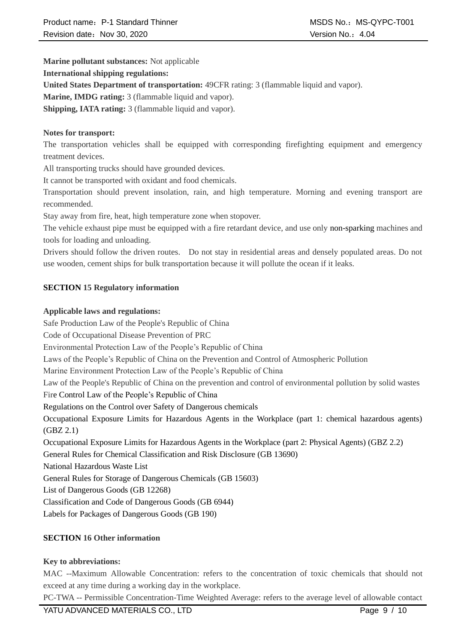**Marine pollutant substances:** Not applicable

## **International shipping regulations:**

**United States Department of transportation:** 49CFR rating: 3 (flammable liquid and vapor).

**Marine, IMDG rating:** 3 (flammable liquid and vapor).

**Shipping, IATA rating:** 3 (flammable liquid and vapor).

# **Notes for transport:**

The transportation vehicles shall be equipped with corresponding firefighting equipment and emergency treatment devices.

All transporting trucks should have grounded devices.

It cannot be transported with oxidant and food chemicals.

Transportation should prevent insolation, rain, and high temperature. Morning and evening transport are recommended.

Stay away from fire, heat, high temperature zone when stopover.

The vehicle exhaust pipe must be equipped with a fire retardant device, and use only non-sparking machines and tools for loading and unloading.

Drivers should follow the driven routes. Do not stay in residential areas and densely populated areas. Do not use wooden, cement ships for bulk transportation because it will pollute the ocean if it leaks.

# **SECTION 15 Regulatory information**

# **Applicable laws and regulations:**

Safe Production Law of the People's Republic of China Code of Occupational Disease Prevention of PRC Environmental Protection Law of the People's Republic of China Laws of the People's Republic of China on the Prevention and Control of Atmospheric Pollution Marine Environment Protection Law of the People's Republic of China Law of the People's Republic of China on the prevention and control of environmental pollution by solid wastes Fire Control Law of the People's Republic of China Regulations on the Control over Safety of Dangerous chemicals Occupational Exposure Limits for Hazardous Agents in the Workplace (part 1: chemical hazardous agents) (GBZ 2.1) Occupational Exposure Limits for Hazardous Agents in the Workplace (part 2: Physical Agents) (GBZ 2.2) General Rules for Chemical Classification and Risk Disclosure (GB 13690) National Hazardous Waste List General Rules for Storage of Dangerous Chemicals (GB 15603) List of Dangerous Goods (GB 12268) Classification and Code of Dangerous Goods (GB 6944) Labels for Packages of Dangerous Goods (GB 190)

# **SECTION 16 Other information**

# **Key to abbreviations:**

MAC --Maximum Allowable Concentration: refers to the concentration of toxic chemicals that should not exceed at any time during a working day in the workplace.

PC-TWA -- Permissible Concentration-Time Weighted Average: refers to the average level of allowable contact